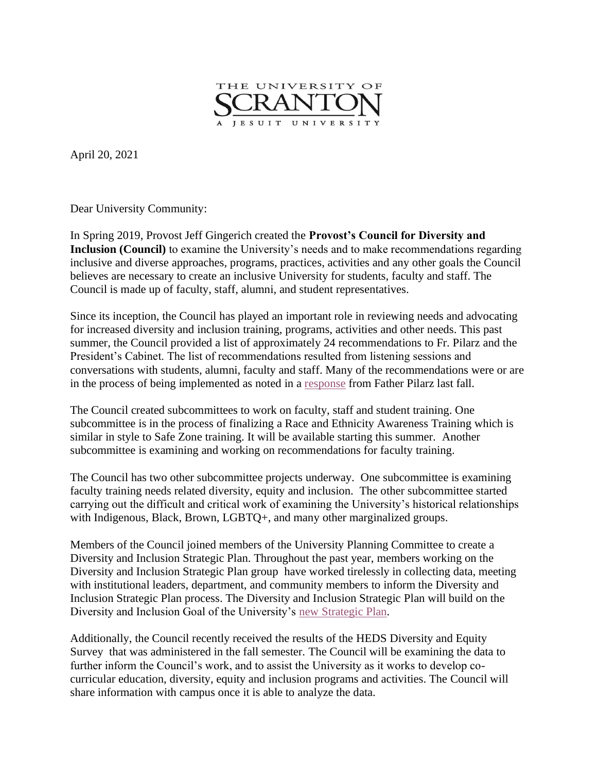

April 20, 2021

Dear University Community:

In Spring 2019, Provost Jeff Gingerich created the **Provost's Council for Diversity and Inclusion (Council)** to examine the University's needs and to make recommendations regarding inclusive and diverse approaches, programs, practices, activities and any other goals the Council believes are necessary to create an inclusive University for students, faculty and staff. The Council is made up of faculty, staff, alumni, and student representatives.

Since its inception, the Council has played an important role in reviewing needs and advocating for increased diversity and inclusion training, programs, activities and other needs. This past summer, the Council provided a list of approximately 24 recommendations to Fr. Pilarz and the President's Cabinet. The list of recommendations resulted from listening sessions and conversations with students, alumni, faculty and staff. Many of the recommendations were or are in the process of being implemented as noted in a [response](https://www.scranton.edu/equity-diversity/docs/cdi-letter.pdf) from Father Pilarz last fall.

The Council created subcommittees to work on faculty, staff and student training. One subcommittee is in the process of finalizing a Race and Ethnicity Awareness Training which is similar in style to Safe Zone training. It will be available starting this summer. Another subcommittee is examining and working on recommendations for faculty training.

The Council has two other subcommittee projects underway. One subcommittee is examining faculty training needs related diversity, equity and inclusion. The other subcommittee started carrying out the difficult and critical work of examining the University's historical relationships with Indigenous, Black, Brown, LGBTQ+, and many other marginalized groups.

Members of the Council joined members of the University Planning Committee to create a Diversity and Inclusion Strategic Plan. Throughout the past year, members working on the Diversity and Inclusion Strategic Plan group have worked tirelessly in collecting data, meeting with institutional leaders, department, and community members to inform the Diversity and Inclusion Strategic Plan process. The Diversity and Inclusion Strategic Plan will build on the Diversity and Inclusion Goal of the University's [new Strategic Plan.](https://www.scranton.edu/strategic-plan/2020/plan-content-page.shtml#phase4)

Additionally, the Council recently received the results of the HEDS Diversity and Equity Survey that was administered in the fall semester. The Council will be examining the data to further inform the Council's work, and to assist the University as it works to develop cocurricular education, diversity, equity and inclusion programs and activities. The Council will share information with campus once it is able to analyze the data.